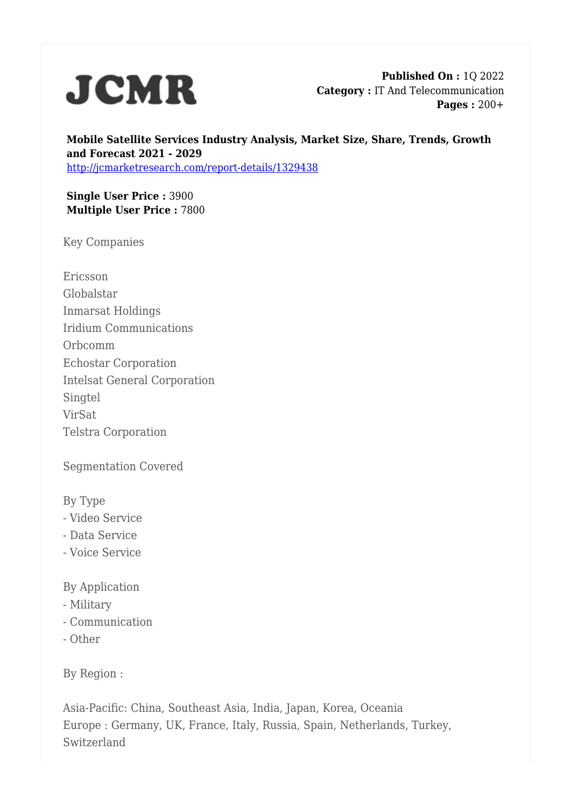

**Published On :** 1Q 2022 **Category :** IT And Telecommunication **Pages :** 200+

**Mobile Satellite Services Industry Analysis, Market Size, Share, Trends, Growth and Forecast 2021 - 2029** <http://jcmarketresearch.com/report-details/1329438>

**Single User Price :** 3900 **Multiple User Price :** 7800

Key Companies

Ericsson Globalstar Inmarsat Holdings Iridium Communications Orbcomm Echostar Corporation Intelsat General Corporation **Singtel** VirSat Telstra Corporation

Segmentation Covered

By Type

- Video Service
- Data Service
- Voice Service

By Application

- Military
- Communication
- Other

By Region :

Asia-Pacific: China, Southeast Asia, India, Japan, Korea, Oceania Europe : Germany, UK, France, Italy, Russia, Spain, Netherlands, Turkey, Switzerland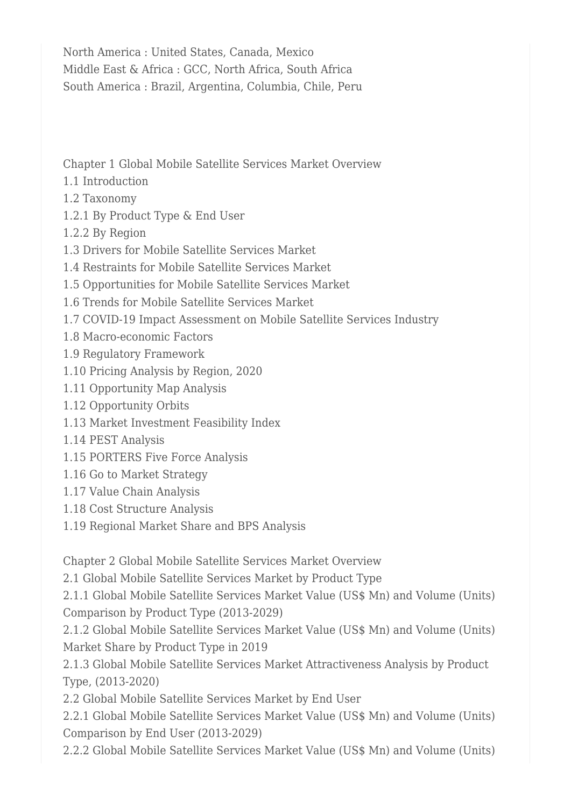North America : United States, Canada, Mexico Middle East & Africa : GCC, North Africa, South Africa South America : Brazil, Argentina, Columbia, Chile, Peru

Chapter 1 Global Mobile Satellite Services Market Overview

- 1.1 Introduction
- 1.2 Taxonomy
- 1.2.1 By Product Type & End User
- 1.2.2 By Region
- 1.3 Drivers for Mobile Satellite Services Market
- 1.4 Restraints for Mobile Satellite Services Market
- 1.5 Opportunities for Mobile Satellite Services Market
- 1.6 Trends for Mobile Satellite Services Market
- 1.7 COVID-19 Impact Assessment on Mobile Satellite Services Industry
- 1.8 Macro-economic Factors
- 1.9 Regulatory Framework
- 1.10 Pricing Analysis by Region, 2020
- 1.11 Opportunity Map Analysis
- 1.12 Opportunity Orbits
- 1.13 Market Investment Feasibility Index
- 1.14 PEST Analysis
- 1.15 PORTERS Five Force Analysis
- 1.16 Go to Market Strategy
- 1.17 Value Chain Analysis
- 1.18 Cost Structure Analysis
- 1.19 Regional Market Share and BPS Analysis

Chapter 2 Global Mobile Satellite Services Market Overview

2.1 Global Mobile Satellite Services Market by Product Type

2.1.1 Global Mobile Satellite Services Market Value (US\$ Mn) and Volume (Units) Comparison by Product Type (2013-2029)

2.1.2 Global Mobile Satellite Services Market Value (US\$ Mn) and Volume (Units) Market Share by Product Type in 2019

2.1.3 Global Mobile Satellite Services Market Attractiveness Analysis by Product Type, (2013-2020)

2.2 Global Mobile Satellite Services Market by End User

2.2.1 Global Mobile Satellite Services Market Value (US\$ Mn) and Volume (Units) Comparison by End User (2013-2029)

2.2.2 Global Mobile Satellite Services Market Value (US\$ Mn) and Volume (Units)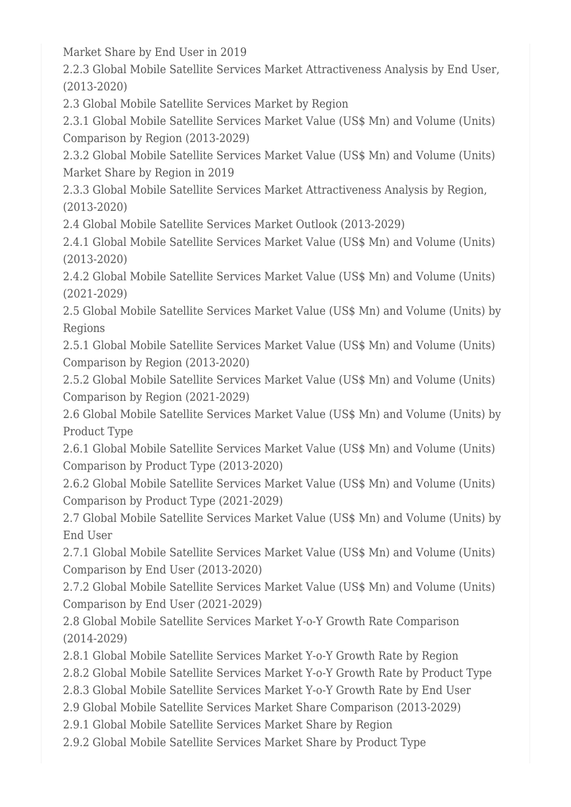Market Share by End User in 2019

2.2.3 Global Mobile Satellite Services Market Attractiveness Analysis by End User, (2013-2020)

2.3 Global Mobile Satellite Services Market by Region

2.3.1 Global Mobile Satellite Services Market Value (US\$ Mn) and Volume (Units) Comparison by Region (2013-2029)

2.3.2 Global Mobile Satellite Services Market Value (US\$ Mn) and Volume (Units) Market Share by Region in 2019

2.3.3 Global Mobile Satellite Services Market Attractiveness Analysis by Region, (2013-2020)

2.4 Global Mobile Satellite Services Market Outlook (2013-2029)

2.4.1 Global Mobile Satellite Services Market Value (US\$ Mn) and Volume (Units) (2013-2020)

2.4.2 Global Mobile Satellite Services Market Value (US\$ Mn) and Volume (Units) (2021-2029)

2.5 Global Mobile Satellite Services Market Value (US\$ Mn) and Volume (Units) by Regions

2.5.1 Global Mobile Satellite Services Market Value (US\$ Mn) and Volume (Units) Comparison by Region (2013-2020)

2.5.2 Global Mobile Satellite Services Market Value (US\$ Mn) and Volume (Units) Comparison by Region (2021-2029)

2.6 Global Mobile Satellite Services Market Value (US\$ Mn) and Volume (Units) by Product Type

2.6.1 Global Mobile Satellite Services Market Value (US\$ Mn) and Volume (Units) Comparison by Product Type (2013-2020)

2.6.2 Global Mobile Satellite Services Market Value (US\$ Mn) and Volume (Units) Comparison by Product Type (2021-2029)

2.7 Global Mobile Satellite Services Market Value (US\$ Mn) and Volume (Units) by End User

2.7.1 Global Mobile Satellite Services Market Value (US\$ Mn) and Volume (Units) Comparison by End User (2013-2020)

2.7.2 Global Mobile Satellite Services Market Value (US\$ Mn) and Volume (Units) Comparison by End User (2021-2029)

2.8 Global Mobile Satellite Services Market Y-o-Y Growth Rate Comparison (2014-2029)

2.8.1 Global Mobile Satellite Services Market Y-o-Y Growth Rate by Region

2.8.2 Global Mobile Satellite Services Market Y-o-Y Growth Rate by Product Type

2.8.3 Global Mobile Satellite Services Market Y-o-Y Growth Rate by End User

2.9 Global Mobile Satellite Services Market Share Comparison (2013-2029)

2.9.1 Global Mobile Satellite Services Market Share by Region

2.9.2 Global Mobile Satellite Services Market Share by Product Type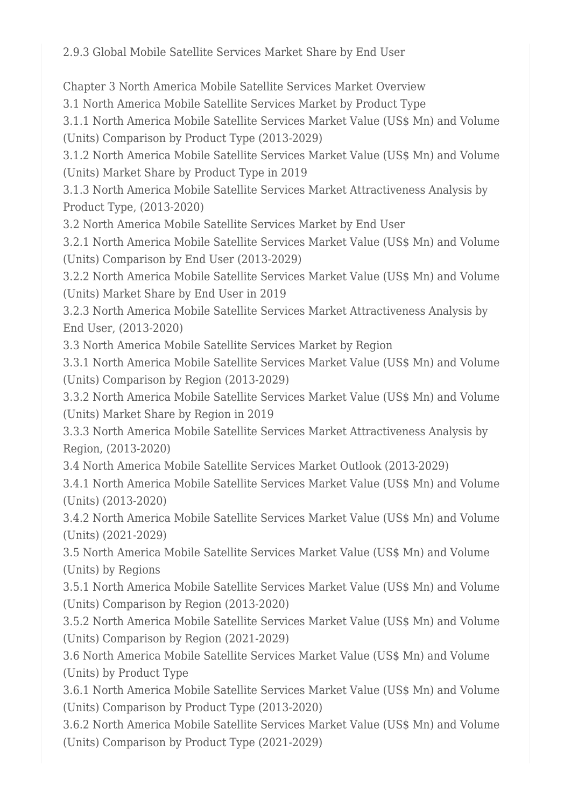2.9.3 Global Mobile Satellite Services Market Share by End User

Chapter 3 North America Mobile Satellite Services Market Overview

3.1 North America Mobile Satellite Services Market by Product Type

3.1.1 North America Mobile Satellite Services Market Value (US\$ Mn) and Volume (Units) Comparison by Product Type (2013-2029)

3.1.2 North America Mobile Satellite Services Market Value (US\$ Mn) and Volume (Units) Market Share by Product Type in 2019

3.1.3 North America Mobile Satellite Services Market Attractiveness Analysis by Product Type, (2013-2020)

3.2 North America Mobile Satellite Services Market by End User

3.2.1 North America Mobile Satellite Services Market Value (US\$ Mn) and Volume (Units) Comparison by End User (2013-2029)

3.2.2 North America Mobile Satellite Services Market Value (US\$ Mn) and Volume (Units) Market Share by End User in 2019

3.2.3 North America Mobile Satellite Services Market Attractiveness Analysis by End User, (2013-2020)

3.3 North America Mobile Satellite Services Market by Region

3.3.1 North America Mobile Satellite Services Market Value (US\$ Mn) and Volume (Units) Comparison by Region (2013-2029)

3.3.2 North America Mobile Satellite Services Market Value (US\$ Mn) and Volume (Units) Market Share by Region in 2019

3.3.3 North America Mobile Satellite Services Market Attractiveness Analysis by Region, (2013-2020)

3.4 North America Mobile Satellite Services Market Outlook (2013-2029)

3.4.1 North America Mobile Satellite Services Market Value (US\$ Mn) and Volume (Units) (2013-2020)

3.4.2 North America Mobile Satellite Services Market Value (US\$ Mn) and Volume (Units) (2021-2029)

3.5 North America Mobile Satellite Services Market Value (US\$ Mn) and Volume (Units) by Regions

3.5.1 North America Mobile Satellite Services Market Value (US\$ Mn) and Volume (Units) Comparison by Region (2013-2020)

3.5.2 North America Mobile Satellite Services Market Value (US\$ Mn) and Volume (Units) Comparison by Region (2021-2029)

3.6 North America Mobile Satellite Services Market Value (US\$ Mn) and Volume (Units) by Product Type

3.6.1 North America Mobile Satellite Services Market Value (US\$ Mn) and Volume (Units) Comparison by Product Type (2013-2020)

3.6.2 North America Mobile Satellite Services Market Value (US\$ Mn) and Volume (Units) Comparison by Product Type (2021-2029)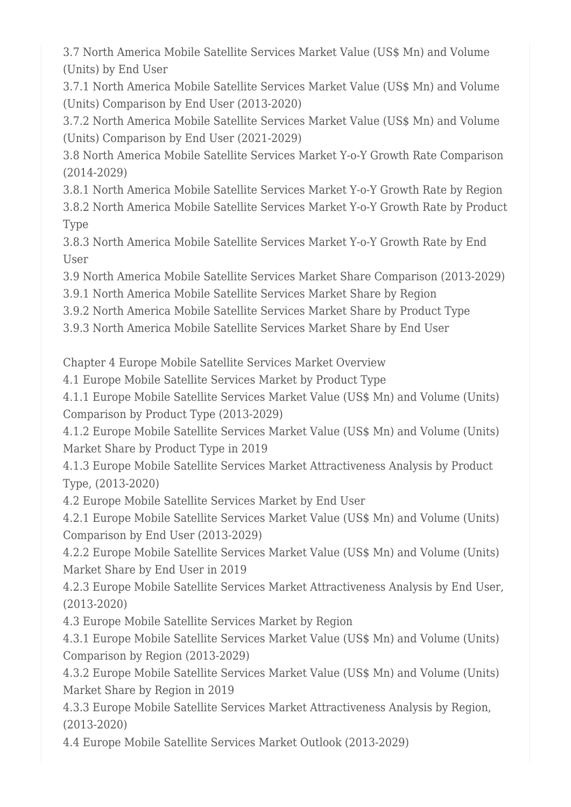3.7 North America Mobile Satellite Services Market Value (US\$ Mn) and Volume (Units) by End User

3.7.1 North America Mobile Satellite Services Market Value (US\$ Mn) and Volume (Units) Comparison by End User (2013-2020)

3.7.2 North America Mobile Satellite Services Market Value (US\$ Mn) and Volume (Units) Comparison by End User (2021-2029)

3.8 North America Mobile Satellite Services Market Y-o-Y Growth Rate Comparison (2014-2029)

3.8.1 North America Mobile Satellite Services Market Y-o-Y Growth Rate by Region 3.8.2 North America Mobile Satellite Services Market Y-o-Y Growth Rate by Product Type

3.8.3 North America Mobile Satellite Services Market Y-o-Y Growth Rate by End User

3.9 North America Mobile Satellite Services Market Share Comparison (2013-2029)

3.9.1 North America Mobile Satellite Services Market Share by Region

3.9.2 North America Mobile Satellite Services Market Share by Product Type

3.9.3 North America Mobile Satellite Services Market Share by End User

Chapter 4 Europe Mobile Satellite Services Market Overview

4.1 Europe Mobile Satellite Services Market by Product Type

4.1.1 Europe Mobile Satellite Services Market Value (US\$ Mn) and Volume (Units) Comparison by Product Type (2013-2029)

4.1.2 Europe Mobile Satellite Services Market Value (US\$ Mn) and Volume (Units) Market Share by Product Type in 2019

4.1.3 Europe Mobile Satellite Services Market Attractiveness Analysis by Product Type, (2013-2020)

4.2 Europe Mobile Satellite Services Market by End User

4.2.1 Europe Mobile Satellite Services Market Value (US\$ Mn) and Volume (Units) Comparison by End User (2013-2029)

4.2.2 Europe Mobile Satellite Services Market Value (US\$ Mn) and Volume (Units) Market Share by End User in 2019

4.2.3 Europe Mobile Satellite Services Market Attractiveness Analysis by End User, (2013-2020)

4.3 Europe Mobile Satellite Services Market by Region

4.3.1 Europe Mobile Satellite Services Market Value (US\$ Mn) and Volume (Units) Comparison by Region (2013-2029)

4.3.2 Europe Mobile Satellite Services Market Value (US\$ Mn) and Volume (Units) Market Share by Region in 2019

4.3.3 Europe Mobile Satellite Services Market Attractiveness Analysis by Region, (2013-2020)

4.4 Europe Mobile Satellite Services Market Outlook (2013-2029)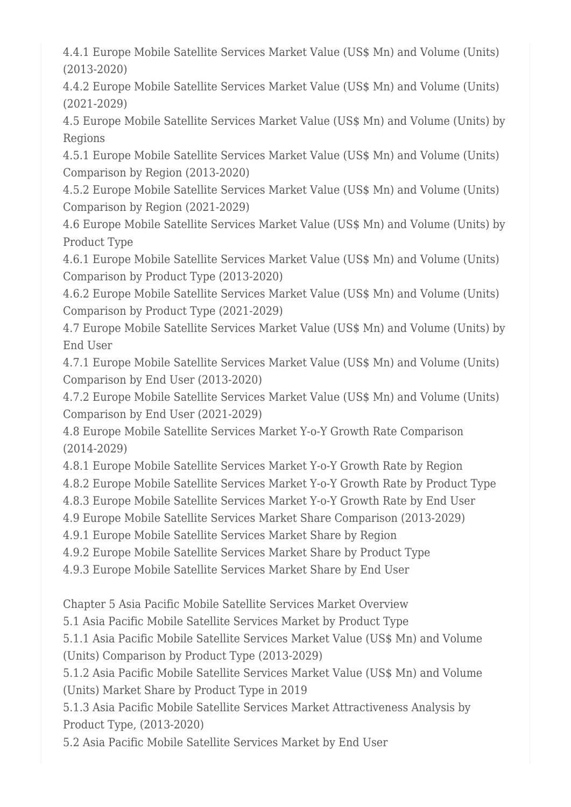4.4.1 Europe Mobile Satellite Services Market Value (US\$ Mn) and Volume (Units) (2013-2020)

4.4.2 Europe Mobile Satellite Services Market Value (US\$ Mn) and Volume (Units) (2021-2029)

4.5 Europe Mobile Satellite Services Market Value (US\$ Mn) and Volume (Units) by Regions

4.5.1 Europe Mobile Satellite Services Market Value (US\$ Mn) and Volume (Units) Comparison by Region (2013-2020)

4.5.2 Europe Mobile Satellite Services Market Value (US\$ Mn) and Volume (Units) Comparison by Region (2021-2029)

4.6 Europe Mobile Satellite Services Market Value (US\$ Mn) and Volume (Units) by Product Type

4.6.1 Europe Mobile Satellite Services Market Value (US\$ Mn) and Volume (Units) Comparison by Product Type (2013-2020)

4.6.2 Europe Mobile Satellite Services Market Value (US\$ Mn) and Volume (Units) Comparison by Product Type (2021-2029)

4.7 Europe Mobile Satellite Services Market Value (US\$ Mn) and Volume (Units) by End User

4.7.1 Europe Mobile Satellite Services Market Value (US\$ Mn) and Volume (Units) Comparison by End User (2013-2020)

4.7.2 Europe Mobile Satellite Services Market Value (US\$ Mn) and Volume (Units) Comparison by End User (2021-2029)

4.8 Europe Mobile Satellite Services Market Y-o-Y Growth Rate Comparison (2014-2029)

4.8.1 Europe Mobile Satellite Services Market Y-o-Y Growth Rate by Region

4.8.2 Europe Mobile Satellite Services Market Y-o-Y Growth Rate by Product Type

4.8.3 Europe Mobile Satellite Services Market Y-o-Y Growth Rate by End User

4.9 Europe Mobile Satellite Services Market Share Comparison (2013-2029)

4.9.1 Europe Mobile Satellite Services Market Share by Region

4.9.2 Europe Mobile Satellite Services Market Share by Product Type

4.9.3 Europe Mobile Satellite Services Market Share by End User

Chapter 5 Asia Pacific Mobile Satellite Services Market Overview

5.1 Asia Pacific Mobile Satellite Services Market by Product Type

5.1.1 Asia Pacific Mobile Satellite Services Market Value (US\$ Mn) and Volume (Units) Comparison by Product Type (2013-2029)

5.1.2 Asia Pacific Mobile Satellite Services Market Value (US\$ Mn) and Volume (Units) Market Share by Product Type in 2019

5.1.3 Asia Pacific Mobile Satellite Services Market Attractiveness Analysis by Product Type, (2013-2020)

5.2 Asia Pacific Mobile Satellite Services Market by End User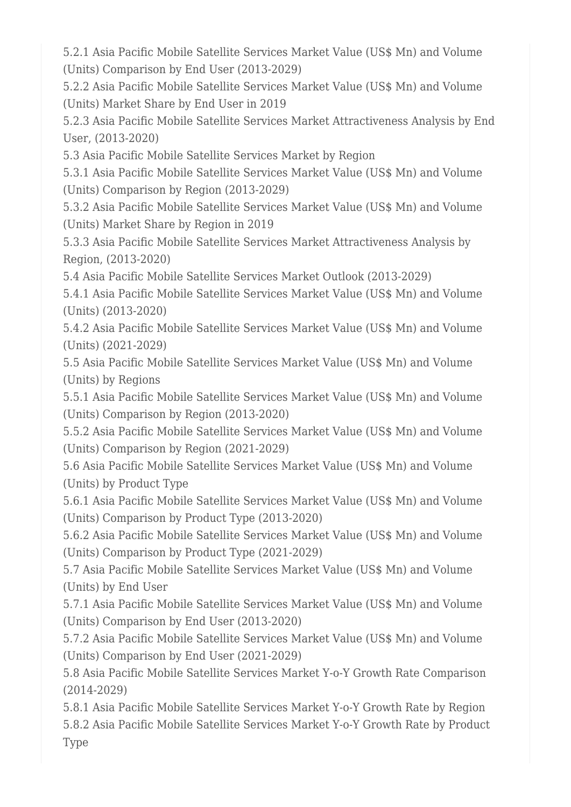5.2.1 Asia Pacific Mobile Satellite Services Market Value (US\$ Mn) and Volume (Units) Comparison by End User (2013-2029)

5.2.2 Asia Pacific Mobile Satellite Services Market Value (US\$ Mn) and Volume (Units) Market Share by End User in 2019

5.2.3 Asia Pacific Mobile Satellite Services Market Attractiveness Analysis by End User, (2013-2020)

5.3 Asia Pacific Mobile Satellite Services Market by Region

5.3.1 Asia Pacific Mobile Satellite Services Market Value (US\$ Mn) and Volume (Units) Comparison by Region (2013-2029)

5.3.2 Asia Pacific Mobile Satellite Services Market Value (US\$ Mn) and Volume (Units) Market Share by Region in 2019

5.3.3 Asia Pacific Mobile Satellite Services Market Attractiveness Analysis by Region, (2013-2020)

5.4 Asia Pacific Mobile Satellite Services Market Outlook (2013-2029)

5.4.1 Asia Pacific Mobile Satellite Services Market Value (US\$ Mn) and Volume (Units) (2013-2020)

5.4.2 Asia Pacific Mobile Satellite Services Market Value (US\$ Mn) and Volume (Units) (2021-2029)

5.5 Asia Pacific Mobile Satellite Services Market Value (US\$ Mn) and Volume (Units) by Regions

5.5.1 Asia Pacific Mobile Satellite Services Market Value (US\$ Mn) and Volume (Units) Comparison by Region (2013-2020)

5.5.2 Asia Pacific Mobile Satellite Services Market Value (US\$ Mn) and Volume (Units) Comparison by Region (2021-2029)

5.6 Asia Pacific Mobile Satellite Services Market Value (US\$ Mn) and Volume (Units) by Product Type

5.6.1 Asia Pacific Mobile Satellite Services Market Value (US\$ Mn) and Volume (Units) Comparison by Product Type (2013-2020)

5.6.2 Asia Pacific Mobile Satellite Services Market Value (US\$ Mn) and Volume (Units) Comparison by Product Type (2021-2029)

5.7 Asia Pacific Mobile Satellite Services Market Value (US\$ Mn) and Volume (Units) by End User

5.7.1 Asia Pacific Mobile Satellite Services Market Value (US\$ Mn) and Volume (Units) Comparison by End User (2013-2020)

5.7.2 Asia Pacific Mobile Satellite Services Market Value (US\$ Mn) and Volume (Units) Comparison by End User (2021-2029)

5.8 Asia Pacific Mobile Satellite Services Market Y-o-Y Growth Rate Comparison (2014-2029)

5.8.1 Asia Pacific Mobile Satellite Services Market Y-o-Y Growth Rate by Region 5.8.2 Asia Pacific Mobile Satellite Services Market Y-o-Y Growth Rate by Product Type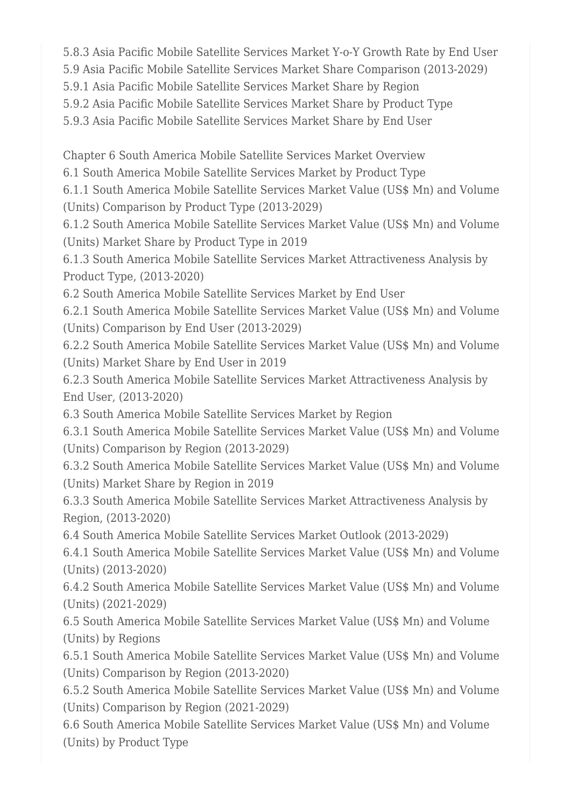5.8.3 Asia Pacific Mobile Satellite Services Market Y-o-Y Growth Rate by End User

5.9 Asia Pacific Mobile Satellite Services Market Share Comparison (2013-2029)

5.9.1 Asia Pacific Mobile Satellite Services Market Share by Region

5.9.2 Asia Pacific Mobile Satellite Services Market Share by Product Type

5.9.3 Asia Pacific Mobile Satellite Services Market Share by End User

Chapter 6 South America Mobile Satellite Services Market Overview

6.1 South America Mobile Satellite Services Market by Product Type

6.1.1 South America Mobile Satellite Services Market Value (US\$ Mn) and Volume (Units) Comparison by Product Type (2013-2029)

6.1.2 South America Mobile Satellite Services Market Value (US\$ Mn) and Volume (Units) Market Share by Product Type in 2019

6.1.3 South America Mobile Satellite Services Market Attractiveness Analysis by Product Type, (2013-2020)

6.2 South America Mobile Satellite Services Market by End User

6.2.1 South America Mobile Satellite Services Market Value (US\$ Mn) and Volume (Units) Comparison by End User (2013-2029)

6.2.2 South America Mobile Satellite Services Market Value (US\$ Mn) and Volume (Units) Market Share by End User in 2019

6.2.3 South America Mobile Satellite Services Market Attractiveness Analysis by End User, (2013-2020)

6.3 South America Mobile Satellite Services Market by Region

6.3.1 South America Mobile Satellite Services Market Value (US\$ Mn) and Volume (Units) Comparison by Region (2013-2029)

6.3.2 South America Mobile Satellite Services Market Value (US\$ Mn) and Volume (Units) Market Share by Region in 2019

6.3.3 South America Mobile Satellite Services Market Attractiveness Analysis by Region, (2013-2020)

6.4 South America Mobile Satellite Services Market Outlook (2013-2029)

6.4.1 South America Mobile Satellite Services Market Value (US\$ Mn) and Volume (Units) (2013-2020)

6.4.2 South America Mobile Satellite Services Market Value (US\$ Mn) and Volume (Units) (2021-2029)

6.5 South America Mobile Satellite Services Market Value (US\$ Mn) and Volume (Units) by Regions

6.5.1 South America Mobile Satellite Services Market Value (US\$ Mn) and Volume (Units) Comparison by Region (2013-2020)

6.5.2 South America Mobile Satellite Services Market Value (US\$ Mn) and Volume (Units) Comparison by Region (2021-2029)

6.6 South America Mobile Satellite Services Market Value (US\$ Mn) and Volume (Units) by Product Type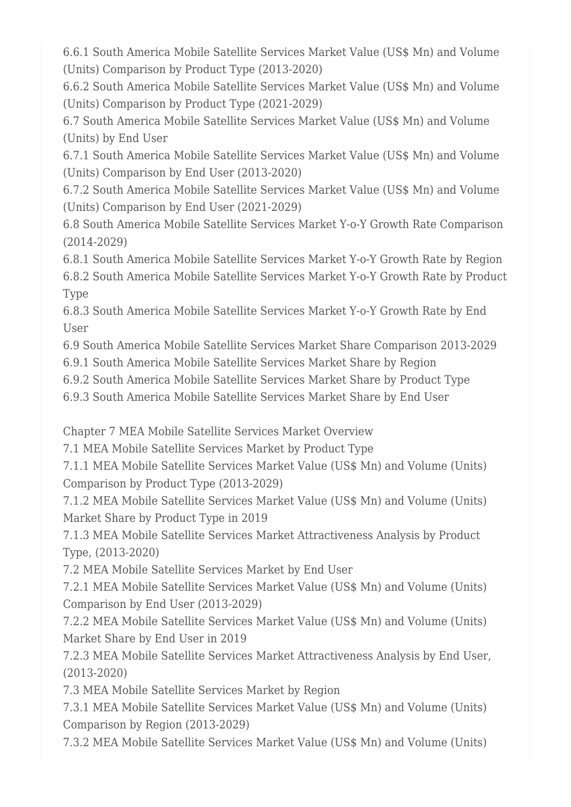6.6.1 South America Mobile Satellite Services Market Value (US\$ Mn) and Volume (Units) Comparison by Product Type (2013-2020)

6.6.2 South America Mobile Satellite Services Market Value (US\$ Mn) and Volume (Units) Comparison by Product Type (2021-2029)

6.7 South America Mobile Satellite Services Market Value (US\$ Mn) and Volume (Units) by End User

6.7.1 South America Mobile Satellite Services Market Value (US\$ Mn) and Volume (Units) Comparison by End User (2013-2020)

6.7.2 South America Mobile Satellite Services Market Value (US\$ Mn) and Volume (Units) Comparison by End User (2021-2029)

6.8 South America Mobile Satellite Services Market Y-o-Y Growth Rate Comparison (2014-2029)

6.8.1 South America Mobile Satellite Services Market Y-o-Y Growth Rate by Region 6.8.2 South America Mobile Satellite Services Market Y-o-Y Growth Rate by Product Type

6.8.3 South America Mobile Satellite Services Market Y-o-Y Growth Rate by End User

6.9 South America Mobile Satellite Services Market Share Comparison 2013-2029

6.9.1 South America Mobile Satellite Services Market Share by Region

6.9.2 South America Mobile Satellite Services Market Share by Product Type

6.9.3 South America Mobile Satellite Services Market Share by End User

Chapter 7 MEA Mobile Satellite Services Market Overview

7.1 MEA Mobile Satellite Services Market by Product Type

7.1.1 MEA Mobile Satellite Services Market Value (US\$ Mn) and Volume (Units) Comparison by Product Type (2013-2029)

7.1.2 MEA Mobile Satellite Services Market Value (US\$ Mn) and Volume (Units) Market Share by Product Type in 2019

7.1.3 MEA Mobile Satellite Services Market Attractiveness Analysis by Product Type, (2013-2020)

7.2 MEA Mobile Satellite Services Market by End User

7.2.1 MEA Mobile Satellite Services Market Value (US\$ Mn) and Volume (Units) Comparison by End User (2013-2029)

7.2.2 MEA Mobile Satellite Services Market Value (US\$ Mn) and Volume (Units) Market Share by End User in 2019

7.2.3 MEA Mobile Satellite Services Market Attractiveness Analysis by End User, (2013-2020)

7.3 MEA Mobile Satellite Services Market by Region

7.3.1 MEA Mobile Satellite Services Market Value (US\$ Mn) and Volume (Units) Comparison by Region (2013-2029)

7.3.2 MEA Mobile Satellite Services Market Value (US\$ Mn) and Volume (Units)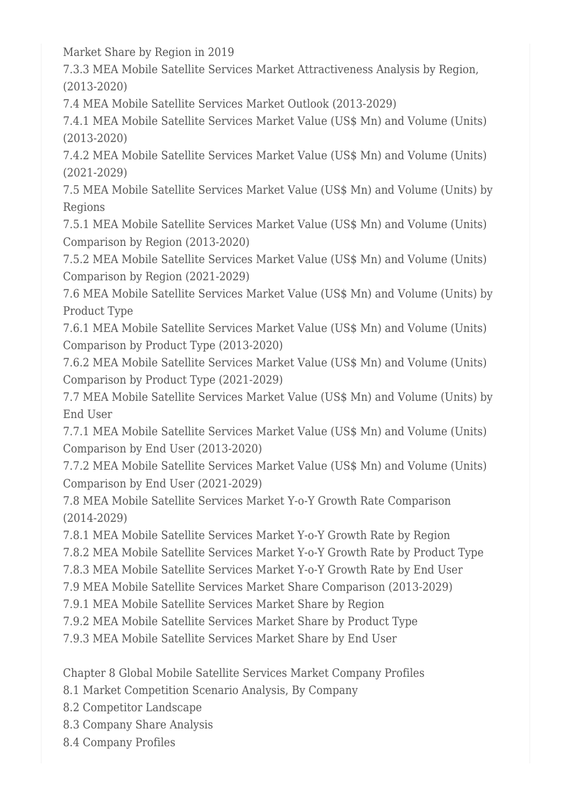Market Share by Region in 2019

7.3.3 MEA Mobile Satellite Services Market Attractiveness Analysis by Region, (2013-2020)

7.4 MEA Mobile Satellite Services Market Outlook (2013-2029)

7.4.1 MEA Mobile Satellite Services Market Value (US\$ Mn) and Volume (Units) (2013-2020)

7.4.2 MEA Mobile Satellite Services Market Value (US\$ Mn) and Volume (Units) (2021-2029)

7.5 MEA Mobile Satellite Services Market Value (US\$ Mn) and Volume (Units) by Regions

7.5.1 MEA Mobile Satellite Services Market Value (US\$ Mn) and Volume (Units) Comparison by Region (2013-2020)

7.5.2 MEA Mobile Satellite Services Market Value (US\$ Mn) and Volume (Units) Comparison by Region (2021-2029)

7.6 MEA Mobile Satellite Services Market Value (US\$ Mn) and Volume (Units) by Product Type

7.6.1 MEA Mobile Satellite Services Market Value (US\$ Mn) and Volume (Units) Comparison by Product Type (2013-2020)

7.6.2 MEA Mobile Satellite Services Market Value (US\$ Mn) and Volume (Units) Comparison by Product Type (2021-2029)

7.7 MEA Mobile Satellite Services Market Value (US\$ Mn) and Volume (Units) by End User

7.7.1 MEA Mobile Satellite Services Market Value (US\$ Mn) and Volume (Units) Comparison by End User (2013-2020)

7.7.2 MEA Mobile Satellite Services Market Value (US\$ Mn) and Volume (Units) Comparison by End User (2021-2029)

7.8 MEA Mobile Satellite Services Market Y-o-Y Growth Rate Comparison (2014-2029)

7.8.1 MEA Mobile Satellite Services Market Y-o-Y Growth Rate by Region

7.8.2 MEA Mobile Satellite Services Market Y-o-Y Growth Rate by Product Type

7.8.3 MEA Mobile Satellite Services Market Y-o-Y Growth Rate by End User

7.9 MEA Mobile Satellite Services Market Share Comparison (2013-2029)

7.9.1 MEA Mobile Satellite Services Market Share by Region

7.9.2 MEA Mobile Satellite Services Market Share by Product Type

7.9.3 MEA Mobile Satellite Services Market Share by End User

Chapter 8 Global Mobile Satellite Services Market Company Profiles

8.1 Market Competition Scenario Analysis, By Company

8.2 Competitor Landscape

8.3 Company Share Analysis

8.4 Company Profiles